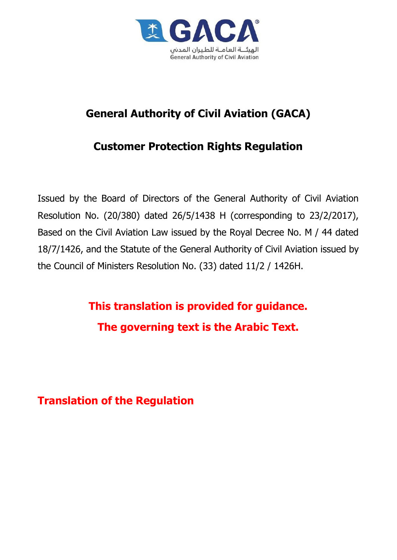

# **General Authority of Civil Aviation (GACA)**

# **Customer Protection Rights Regulation**

Issued by the Board of Directors of the General Authority of Civil Aviation Resolution No. (20/380) dated 26/5/1438 H (corresponding to 23/2/2017), Based on the Civil Aviation Law issued by the Royal Decree No. M / 44 dated 18/7/1426, and the Statute of the General Authority of Civil Aviation issued by the Council of Ministers Resolution No. (33) dated 11/2 / 1426H.

> **This translation is provided for guidance. The governing text is the Arabic Text.**

**Translation of the Regulation**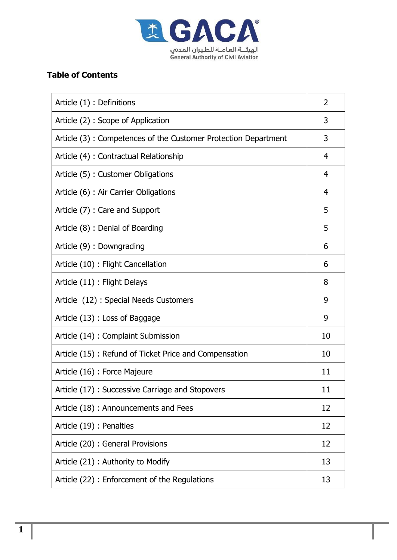

# **Table of Contents**

| Article (1) : Definitions                                      | 2              |
|----------------------------------------------------------------|----------------|
| Article (2) : Scope of Application                             | 3              |
| Article (3): Competences of the Customer Protection Department | 3              |
| Article (4) : Contractual Relationship                         | $\overline{4}$ |
| Article (5) : Customer Obligations                             | $\overline{4}$ |
| Article (6) : Air Carrier Obligations                          | 4              |
| Article (7) : Care and Support                                 | 5              |
| Article (8) : Denial of Boarding                               | 5              |
| Article (9) : Downgrading                                      | 6              |
| Article (10) : Flight Cancellation                             | 6              |
| Article (11) : Flight Delays                                   | 8              |
| Article (12): Special Needs Customers                          | 9              |
| Article (13) : Loss of Baggage                                 | 9              |
| Article (14) : Complaint Submission                            | 10             |
| Article (15): Refund of Ticket Price and Compensation          | 10             |
| Article (16) : Force Majeure                                   | 11             |
| Article (17) : Successive Carriage and Stopovers               | 11             |
| Article (18): Announcements and Fees                           | 12             |
| Article (19) : Penalties                                       | 12             |
| Article (20) : General Provisions                              | 12             |
| Article (21) : Authority to Modify                             | 13             |
| Article (22) : Enforcement of the Regulations                  | 13             |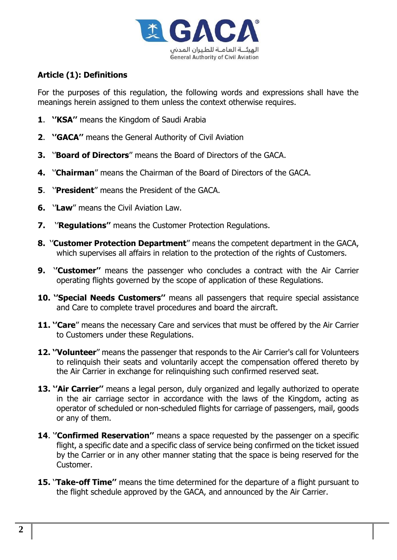

# **Article (1): Definitions**

For the purposes of this regulation, the following words and expressions shall have the meanings herein assigned to them unless the context otherwise requires.

- **1**. **''KSA''** means the Kingdom of Saudi Arabia
- **2**. **''GACA''** means the General Authority of Civil Aviation
- **3.** ''**Board of Directors**'' means the Board of Directors of the GACA.
- **4.** ''**Chairman**'' means the Chairman of the Board of Directors of the GACA.
- **5**. ''**President**'' means the President of the GACA.
- **6.** ''**Law**'' means the Civil Aviation Law.
- **7.** ''**Regulations''** means the Customer Protection Regulations.
- **8.** ''**Customer Protection Department**'' means the competent department in the GACA, which supervises all affairs in relation to the protection of the rights of Customers.
- **9.** '**'Customer''** means the passenger who concludes a contract with the Air Carrier operating flights governed by the scope of application of these Regulations.
- **10. ''Special Needs Customers''** means all passengers that require special assistance and Care to complete travel procedures and board the aircraft.
- **11. ''Care**'' means the necessary Care and services that must be offered by the Air Carrier to Customers under these Regulations.
- **12. ''Volunteer**'' means the passenger that responds to the Air Carrier's call for Volunteers to relinquish their seats and voluntarily accept the compensation offered thereto by the Air Carrier in exchange for relinquishing such confirmed reserved seat.
- **13. ''Air Carrier''** means a legal person, duly organized and legally authorized to operate in the air carriage sector in accordance with the laws of the Kingdom, acting as operator of scheduled or non-scheduled flights for carriage of passengers, mail, goods or any of them.
- **14**. '**'Confirmed Reservation''** means a space requested by the passenger on a specific flight, a specific date and a specific class of service being confirmed on the ticket issued by the Carrier or in any other manner stating that the space is being reserved for the Customer.
- **15. 'Take-off Time''** means the time determined for the departure of a flight pursuant to the flight schedule approved by the GACA, and announced by the Air Carrier.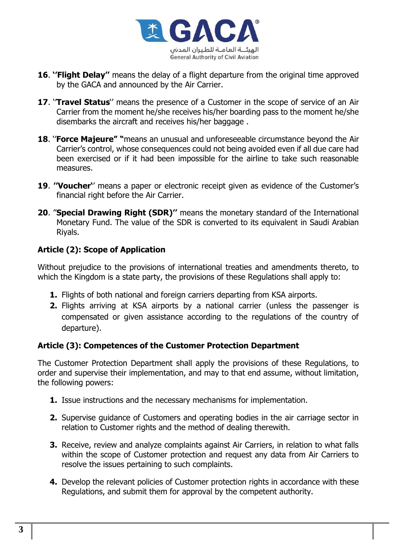

- **16**. **''Flight Delay''** means the delay of a flight departure from the original time approved by the GACA and announced by the Air Carrier.
- 17. 'Travel Status'' means the presence of a Customer in the scope of service of an Air Carrier from the moment he/she receives his/her boarding pass to the moment he/she disembarks the aircraft and receives his/her baggage .
- **18**. ''**Force Majeure" "**means an unusual and unforeseeable circumstance beyond the Air Carrier's control, whose consequences could not being avoided even if all due care had been exercised or if it had been impossible for the airline to take such reasonable measures.
- **19**. **''Voucher'**' means a paper or electronic receipt given as evidence of the Customer's financial right before the Air Carrier.
- **20**. ''**Special Drawing Right (SDR)''** means the monetary standard of the International Monetary Fund. The value of the SDR is converted to its equivalent in Saudi Arabian Riyals.

# **Article (2): Scope of Application**

Without prejudice to the provisions of international treaties and amendments thereto, to which the Kingdom is a state party, the provisions of these Regulations shall apply to:

- **1.** Flights of both national and foreign carriers departing from KSA airports.
- **2.** Flights arriving at KSA airports by a national carrier (unless the passenger is compensated or given assistance according to the regulations of the country of departure).

# **Article (3): Competences of the Customer Protection Department**

The Customer Protection Department shall apply the provisions of these Regulations, to order and supervise their implementation, and may to that end assume, without limitation, the following powers:

- **1.** Issue instructions and the necessary mechanisms for implementation.
- **2.** Supervise guidance of Customers and operating bodies in the air carriage sector in relation to Customer rights and the method of dealing therewith.
- **3.** Receive, review and analyze complaints against Air Carriers, in relation to what falls within the scope of Customer protection and request any data from Air Carriers to resolve the issues pertaining to such complaints.
- **4.** Develop the relevant policies of Customer protection rights in accordance with these Regulations, and submit them for approval by the competent authority.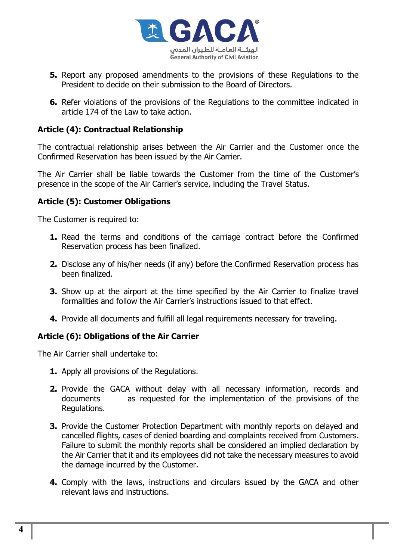

- **5.** Report any proposed amendments to the provisions of these Regulations to the President to decide on their submission to the Board of Directors.
- **6.** Refer violations of the provisions of the Regulations to the committee indicated in article 174 of the Law to take action.

### **Article (4): Contractual Relationship**

The contractual relationship arises between the Air Carrier and the Customer once the Confirmed Reservation has been issued by the Air Carrier.

The Air Carrier shall be liable towards the Customer from the time of the Customer's presence in the scope of the Air Carrier's service, including the Travel Status.

## **Article (5): Customer Obligations**

The Customer is required to:

- **1.** Read the terms and conditions of the carriage contract before the Confirmed Reservation process has been finalized.
- **2.** Disclose any of his/her needs (if any) before the Confirmed Reservation process has been finalized.
- **3.** Show up at the airport at the time specified by the Air Carrier to finalize travel formalities and follow the Air Carrier's instructions issued to that effect.
- **4.** Provide all documents and fulfill all legal requirements necessary for traveling.

#### **Article (6): Obligations of the Air Carrier**

The Air Carrier shall undertake to:

- **1.** Apply all provisions of the Regulations.
- **2.** Provide the GACA without delay with all necessary information, records and documents as requested for the implementation of the provisions of the Regulations.
- **3.** Provide the Customer Protection Department with monthly reports on delayed and cancelled flights, cases of denied boarding and complaints received from Customers. Failure to submit the monthly reports shall be considered an implied declaration by the Air Carrier that it and its employees did not take the necessary measures to avoid the damage incurred by the Customer.
- **4.** Comply with the laws, instructions and circulars issued by the GACA and other relevant laws and instructions.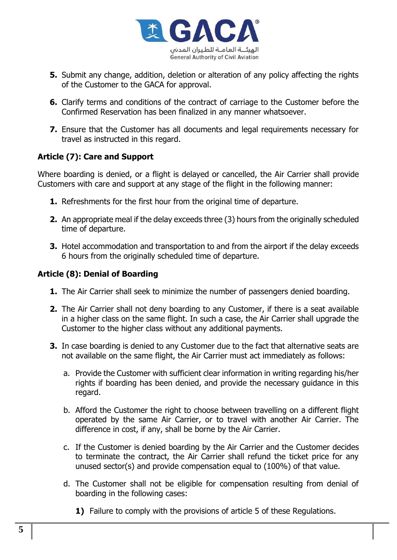

- **5.** Submit any change, addition, deletion or alteration of any policy affecting the rights of the Customer to the GACA for approval.
- **6.** Clarify terms and conditions of the contract of carriage to the Customer before the Confirmed Reservation has been finalized in any manner whatsoever.
- **7.** Ensure that the Customer has all documents and legal requirements necessary for travel as instructed in this regard.

# **Article (7): Care and Support**

Where boarding is denied, or a flight is delayed or cancelled, the Air Carrier shall provide Customers with care and support at any stage of the flight in the following manner:

- **1.** Refreshments for the first hour from the original time of departure.
- **2.** An appropriate meal if the delay exceeds three (3) hours from the originally scheduled time of departure.
- **3.** Hotel accommodation and transportation to and from the airport if the delay exceeds 6 hours from the originally scheduled time of departure.

# **Article (8): Denial of Boarding**

- **1.** The Air Carrier shall seek to minimize the number of passengers denied boarding.
- **2.** The Air Carrier shall not deny boarding to any Customer, if there is a seat available in a higher class on the same flight. In such a case, the Air Carrier shall upgrade the Customer to the higher class without any additional payments.
- **3.** In case boarding is denied to any Customer due to the fact that alternative seats are not available on the same flight, the Air Carrier must act immediately as follows:
	- a. Provide the Customer with sufficient clear information in writing regarding his/her rights if boarding has been denied, and provide the necessary guidance in this regard.
	- b. Afford the Customer the right to choose between travelling on a different flight operated by the same Air Carrier, or to travel with another Air Carrier. The difference in cost, if any, shall be borne by the Air Carrier.
	- c. If the Customer is denied boarding by the Air Carrier and the Customer decides to terminate the contract, the Air Carrier shall refund the ticket price for any unused sector(s) and provide compensation equal to (100%) of that value.
	- d. The Customer shall not be eligible for compensation resulting from denial of boarding in the following cases:
		- **1)** Failure to comply with the provisions of article 5 of these Regulations.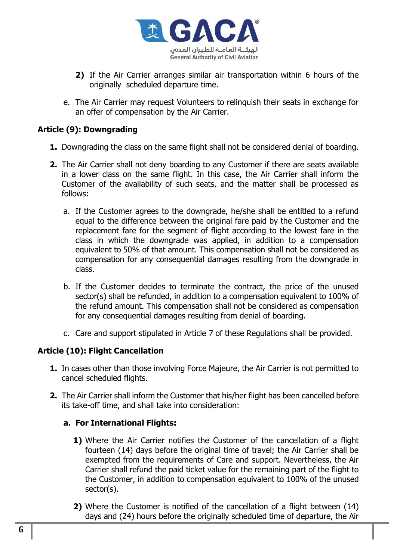

- **2)** If the Air Carrier arranges similar air transportation within 6 hours of the originally scheduled departure time.
- e. The Air Carrier may request Volunteers to relinquish their seats in exchange for an offer of compensation by the Air Carrier.

#### **Article (9): Downgrading**

- **1.** Downgrading the class on the same flight shall not be considered denial of boarding.
- **2.** The Air Carrier shall not deny boarding to any Customer if there are seats available in a lower class on the same flight. In this case, the Air Carrier shall inform the Customer of the availability of such seats, and the matter shall be processed as follows:
	- a. If the Customer agrees to the downgrade, he/she shall be entitled to a refund equal to the difference between the original fare paid by the Customer and the replacement fare for the segment of flight according to the lowest fare in the class in which the downgrade was applied, in addition to a compensation equivalent to 50% of that amount. This compensation shall not be considered as compensation for any consequential damages resulting from the downgrade in class.
	- b. If the Customer decides to terminate the contract, the price of the unused sector(s) shall be refunded, in addition to a compensation equivalent to 100% of the refund amount. This compensation shall not be considered as compensation for any consequential damages resulting from denial of boarding.
	- c. Care and support stipulated in Article 7 of these Regulations shall be provided.

#### **Article (10): Flight Cancellation**

- **1.** In cases other than those involving Force Majeure, the Air Carrier is not permitted to cancel scheduled flights.
- **2.** The Air Carrier shall inform the Customer that his/her flight has been cancelled before its take-off time, and shall take into consideration:

#### **a. For International Flights:**

- **1)** Where the Air Carrier notifies the Customer of the cancellation of a flight fourteen (14) days before the original time of travel; the Air Carrier shall be exempted from the requirements of Care and support. Nevertheless, the Air Carrier shall refund the paid ticket value for the remaining part of the flight to the Customer, in addition to compensation equivalent to 100% of the unused sector(s).
- **2)** Where the Customer is notified of the cancellation of a flight between (14) days and (24) hours before the originally scheduled time of departure, the Air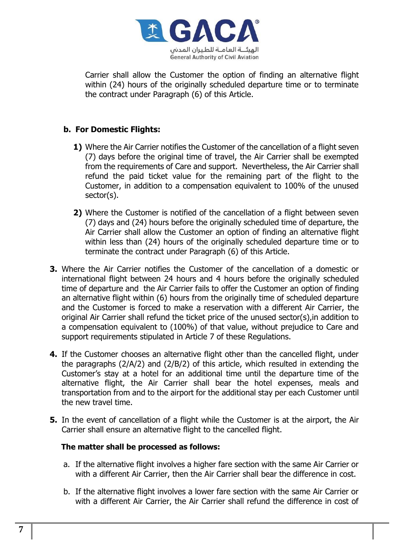

Carrier shall allow the Customer the option of finding an alternative flight within (24) hours of the originally scheduled departure time or to terminate the contract under Paragraph (6) of this Article.

## **b. For Domestic Flights:**

- **1)** Where the Air Carrier notifies the Customer of the cancellation of a flight seven (7) days before the original time of travel, the Air Carrier shall be exempted from the requirements of Care and support. Nevertheless, the Air Carrier shall refund the paid ticket value for the remaining part of the flight to the Customer, in addition to a compensation equivalent to 100% of the unused sector(s).
- **2)** Where the Customer is notified of the cancellation of a flight between seven (7) days and (24) hours before the originally scheduled time of departure, the Air Carrier shall allow the Customer an option of finding an alternative flight within less than (24) hours of the originally scheduled departure time or to terminate the contract under Paragraph (6) of this Article.
- **3.** Where the Air Carrier notifies the Customer of the cancellation of a domestic or international flight between 24 hours and 4 hours before the originally scheduled time of departure and the Air Carrier fails to offer the Customer an option of finding an alternative flight within (6) hours from the originally time of scheduled departure and the Customer is forced to make a reservation with a different Air Carrier, the original Air Carrier shall refund the ticket price of the unused sector(s),in addition to a compensation equivalent to (100%) of that value, without prejudice to Care and support requirements stipulated in Article 7 of these Regulations.
- **4.** If the Customer chooses an alternative flight other than the cancelled flight, under the paragraphs (2/A/2) and (2/B/2) of this article, which resulted in extending the Customer's stay at a hotel for an additional time until the departure time of the alternative flight, the Air Carrier shall bear the hotel expenses, meals and transportation from and to the airport for the additional stay per each Customer until the new travel time.
- **5.** In the event of cancellation of a flight while the Customer is at the airport, the Air Carrier shall ensure an alternative flight to the cancelled flight.

#### **The matter shall be processed as follows:**

- a. If the alternative flight involves a higher fare section with the same Air Carrier or with a different Air Carrier, then the Air Carrier shall bear the difference in cost.
- b. If the alternative flight involves a lower fare section with the same Air Carrier or with a different Air Carrier, the Air Carrier shall refund the difference in cost of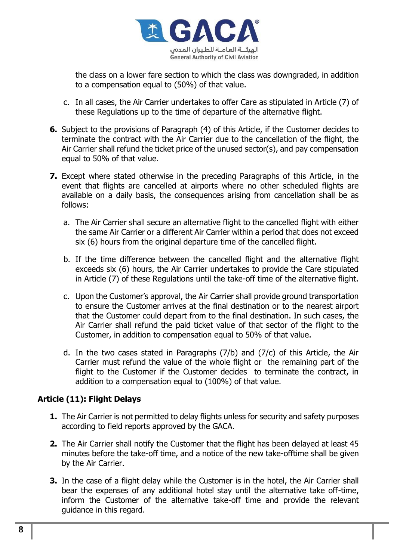

the class on a lower fare section to which the class was downgraded, in addition to a compensation equal to (50%) of that value.

- c. In all cases, the Air Carrier undertakes to offer Care as stipulated in Article (7) of these Regulations up to the time of departure of the alternative flight.
- **6.** Subject to the provisions of Paragraph (4) of this Article, if the Customer decides to terminate the contract with the Air Carrier due to the cancellation of the flight, the Air Carrier shall refund the ticket price of the unused sector(s), and pay compensation equal to 50% of that value.
- **7.** Except where stated otherwise in the preceding Paragraphs of this Article, in the event that flights are cancelled at airports where no other scheduled flights are available on a daily basis, the consequences arising from cancellation shall be as follows:
	- a. The Air Carrier shall secure an alternative flight to the cancelled flight with either the same Air Carrier or a different Air Carrier within a period that does not exceed six (6) hours from the original departure time of the cancelled flight.
	- b. If the time difference between the cancelled flight and the alternative flight exceeds six (6) hours, the Air Carrier undertakes to provide the Care stipulated in Article (7) of these Regulations until the take-off time of the alternative flight.
	- c. Upon the Customer's approval, the Air Carrier shall provide ground transportation to ensure the Customer arrives at the final destination or to the nearest airport that the Customer could depart from to the final destination. In such cases, the Air Carrier shall refund the paid ticket value of that sector of the flight to the Customer, in addition to compensation equal to 50% of that value.
	- d. In the two cases stated in Paragraphs (7/b) and (7/c) of this Article, the Air Carrier must refund the value of the whole flight or the remaining part of the flight to the Customer if the Customer decides to terminate the contract, in addition to a compensation equal to (100%) of that value.

# **Article (11): Flight Delays**

- **1.** The Air Carrier is not permitted to delay flights unless for security and safety purposes according to field reports approved by the GACA.
- **2.** The Air Carrier shall notify the Customer that the flight has been delayed at least 45 minutes before the take-off time, and a notice of the new take-offtime shall be given by the Air Carrier.
- **3.** In the case of a flight delay while the Customer is in the hotel, the Air Carrier shall bear the expenses of any additional hotel stay until the alternative take off-time, inform the Customer of the alternative take-off time and provide the relevant guidance in this regard.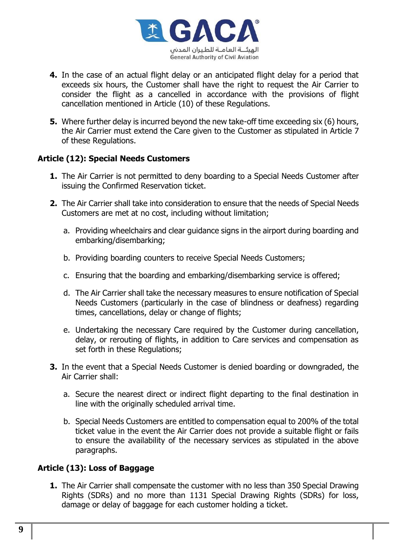

- **4.** In the case of an actual flight delay or an anticipated flight delay for a period that exceeds six hours, the Customer shall have the right to request the Air Carrier to consider the flight as a cancelled in accordance with the provisions of flight cancellation mentioned in Article (10) of these Regulations.
- **5.** Where further delay is incurred beyond the new take-off time exceeding six (6) hours, the Air Carrier must extend the Care given to the Customer as stipulated in Article 7 of these Regulations.

## **Article (12): Special Needs Customers**

- **1.** The Air Carrier is not permitted to deny boarding to a Special Needs Customer after issuing the Confirmed Reservation ticket.
- **2.** The Air Carrier shall take into consideration to ensure that the needs of Special Needs Customers are met at no cost, including without limitation;
	- a. Providing wheelchairs and clear guidance signs in the airport during boarding and embarking/disembarking;
	- b. Providing boarding counters to receive Special Needs Customers;
	- c. Ensuring that the boarding and embarking/disembarking service is offered;
	- d. The Air Carrier shall take the necessary measures to ensure notification of Special Needs Customers (particularly in the case of blindness or deafness) regarding times, cancellations, delay or change of flights;
	- e. Undertaking the necessary Care required by the Customer during cancellation, delay, or rerouting of flights, in addition to Care services and compensation as set forth in these Regulations;
- **3.** In the event that a Special Needs Customer is denied boarding or downgraded, the Air Carrier shall:
	- a. Secure the nearest direct or indirect flight departing to the final destination in line with the originally scheduled arrival time.
	- b. Special Needs Customers are entitled to compensation equal to 200% of the total ticket value in the event the Air Carrier does not provide a suitable flight or fails to ensure the availability of the necessary services as stipulated in the above paragraphs.

#### **Article (13): Loss of Baggage**

**1.** The Air Carrier shall compensate the customer with no less than 350 Special Drawing Rights (SDRs) and no more than 1131 Special Drawing Rights (SDRs) for loss, damage or delay of baggage for each customer holding a ticket.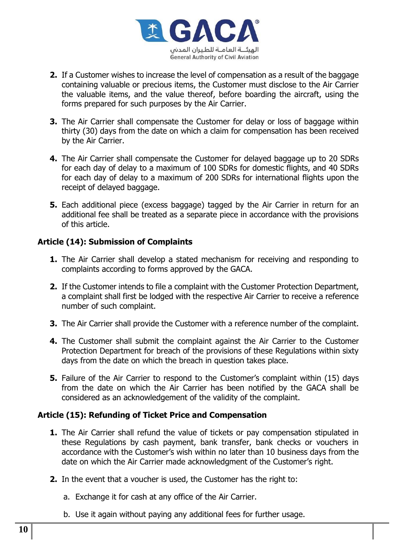

- **2.** If a Customer wishes to increase the level of compensation as a result of the baggage containing valuable or precious items, the Customer must disclose to the Air Carrier the valuable items, and the value thereof, before boarding the aircraft, using the forms prepared for such purposes by the Air Carrier.
- **3.** The Air Carrier shall compensate the Customer for delay or loss of baggage within thirty (30) days from the date on which a claim for compensation has been received by the Air Carrier.
- **4.** The Air Carrier shall compensate the Customer for delayed baggage up to 20 SDRs for each day of delay to a maximum of 100 SDRs for domestic flights, and 40 SDRs for each day of delay to a maximum of 200 SDRs for international flights upon the receipt of delayed baggage.
- **5.** Each additional piece (excess baggage) tagged by the Air Carrier in return for an additional fee shall be treated as a separate piece in accordance with the provisions of this article.

## **Article (14): Submission of Complaints**

- **1.** The Air Carrier shall develop a stated mechanism for receiving and responding to complaints according to forms approved by the GACA.
- **2.** If the Customer intends to file a complaint with the Customer Protection Department, a complaint shall first be lodged with the respective Air Carrier to receive a reference number of such complaint.
- **3.** The Air Carrier shall provide the Customer with a reference number of the complaint.
- **4.** The Customer shall submit the complaint against the Air Carrier to the Customer Protection Department for breach of the provisions of these Regulations within sixty days from the date on which the breach in question takes place.
- **5.** Failure of the Air Carrier to respond to the Customer's complaint within (15) days from the date on which the Air Carrier has been notified by the GACA shall be considered as an acknowledgement of the validity of the complaint.

#### **Article (15): Refunding of Ticket Price and Compensation**

- **1.** The Air Carrier shall refund the value of tickets or pay compensation stipulated in these Regulations by cash payment, bank transfer, bank checks or vouchers in accordance with the Customer's wish within no later than 10 business days from the date on which the Air Carrier made acknowledgment of the Customer's right.
- **2.** In the event that a voucher is used, the Customer has the right to:
	- a. Exchange it for cash at any office of the Air Carrier.
	- b. Use it again without paying any additional fees for further usage.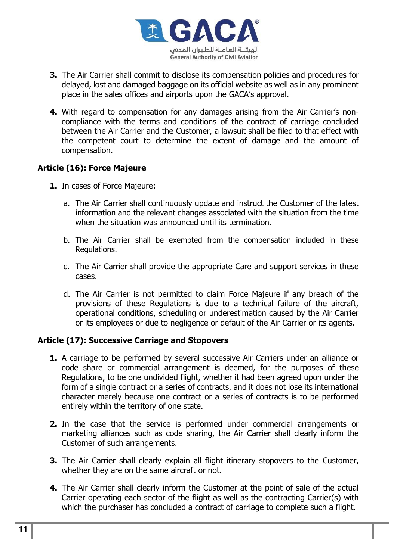

- **3.** The Air Carrier shall commit to disclose its compensation policies and procedures for delayed, lost and damaged baggage on its official website as well as in any prominent place in the sales offices and airports upon the GACA's approval.
- **4.** With regard to compensation for any damages arising from the Air Carrier's noncompliance with the terms and conditions of the contract of carriage concluded between the Air Carrier and the Customer, a lawsuit shall be filed to that effect with the competent court to determine the extent of damage and the amount of compensation.

## **Article (16): Force Majeure**

- **1.** In cases of Force Majeure:
	- a. The Air Carrier shall continuously update and instruct the Customer of the latest information and the relevant changes associated with the situation from the time when the situation was announced until its termination.
	- b. The Air Carrier shall be exempted from the compensation included in these Regulations.
	- c. The Air Carrier shall provide the appropriate Care and support services in these cases.
	- d. The Air Carrier is not permitted to claim Force Majeure if any breach of the provisions of these Regulations is due to a technical failure of the aircraft, operational conditions, scheduling or underestimation caused by the Air Carrier or its employees or due to negligence or default of the Air Carrier or its agents.

#### **Article (17): Successive Carriage and Stopovers**

- **1.** A carriage to be performed by several successive Air Carriers under an alliance or code share or commercial arrangement is deemed, for the purposes of these Regulations, to be one undivided flight, whether it had been agreed upon under the form of a single contract or a series of contracts, and it does not lose its international character merely because one contract or a series of contracts is to be performed entirely within the territory of one state.
- **2.** In the case that the service is performed under commercial arrangements or marketing alliances such as code sharing, the Air Carrier shall clearly inform the Customer of such arrangements.
- **3.** The Air Carrier shall clearly explain all flight itinerary stopovers to the Customer, whether they are on the same aircraft or not.
- **4.** The Air Carrier shall clearly inform the Customer at the point of sale of the actual Carrier operating each sector of the flight as well as the contracting Carrier(s) with which the purchaser has concluded a contract of carriage to complete such a flight.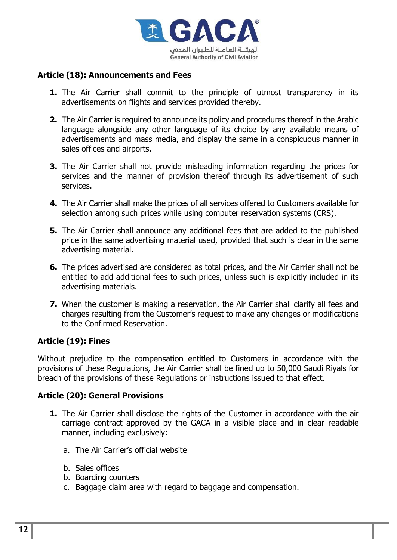

## **Article (18): Announcements and Fees**

- **1.** The Air Carrier shall commit to the principle of utmost transparency in its advertisements on flights and services provided thereby.
- **2.** The Air Carrier is required to announce its policy and procedures thereof in the Arabic language alongside any other language of its choice by any available means of advertisements and mass media, and display the same in a conspicuous manner in sales offices and airports.
- **3.** The Air Carrier shall not provide misleading information regarding the prices for services and the manner of provision thereof through its advertisement of such services.
- **4.** The Air Carrier shall make the prices of all services offered to Customers available for selection among such prices while using computer reservation systems (CRS).
- **5.** The Air Carrier shall announce any additional fees that are added to the published price in the same advertising material used, provided that such is clear in the same advertising material.
- **6.** The prices advertised are considered as total prices, and the Air Carrier shall not be entitled to add additional fees to such prices, unless such is explicitly included in its advertising materials.
- **7.** When the customer is making a reservation, the Air Carrier shall clarify all fees and charges resulting from the Customer's request to make any changes or modifications to the Confirmed Reservation.

#### **Article (19): Fines**

Without prejudice to the compensation entitled to Customers in accordance with the provisions of these Regulations, the Air Carrier shall be fined up to 50,000 Saudi Riyals for breach of the provisions of these Regulations or instructions issued to that effect.

#### **Article (20): General Provisions**

- **1.** The Air Carrier shall disclose the rights of the Customer in accordance with the air carriage contract approved by the GACA in a visible place and in clear readable manner, including exclusively:
	- a. The Air Carrier's official website
	- b. Sales offices
	- b. Boarding counters
	- c. Baggage claim area with regard to baggage and compensation.